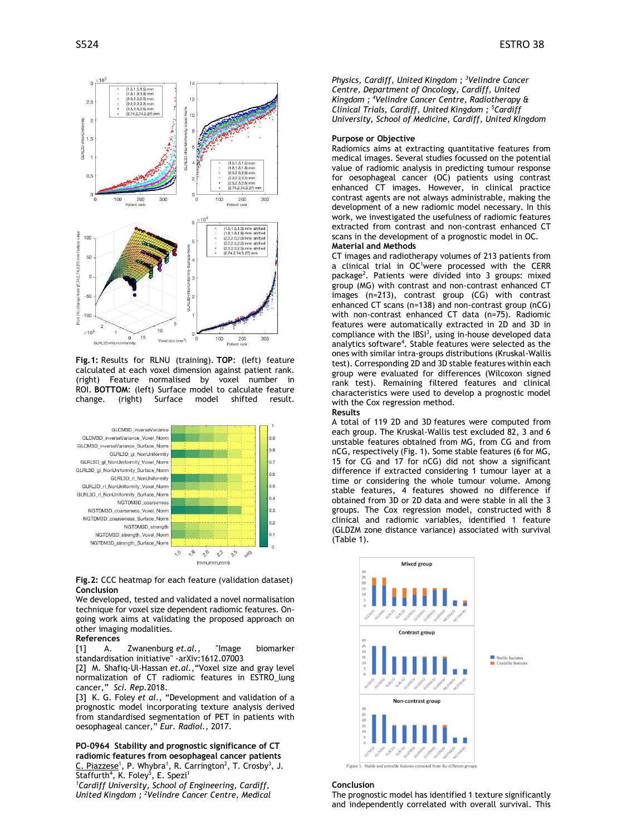

**Fig.1:** Results for RLNU (training). **TOP**: (left) feature calculated at each voxel dimension against patient rank. (right) Feature normalised by voxel number in ROI. **BOTTOM**: (left) Surface model to calculate feature change. (right) Surface model shifted result.



**Fig.2:** CCC heatmap for each feature (validation dataset) **Conclusion**

We developed, tested and validated a novel normalisation technique for voxel size dependent radiomic features. Ongoing work aims at validating the proposed approach on other imaging modalities.

# **References**

[1] A. Zwanenburg *[et.al.](http://et.al/)*, "Image biomarker standardisation initiative" -arXiv:1612.07003

[2] M. Shafiq-Ul-Hassan *[et.al.](http://et.al/)*,"Voxel size and gray level normalization of CT radiomic features in ESTRO\_lung cancer," *Sci. Rep.*2018.

[3] K. G. Foley *et al.*, "Development and validation of a prognostic model incorporating texture analysis derived from standardised segmentation of PET in patients with oesophageal cancer," *Eur. Radiol.*, 2017.

**PO-0964 Stability and prognostic significance of CT radiomic features from oesophageal cancer patients** C. Piazzese<sup>1</sup>, P. Whybra<sup>1</sup>, R. Carrington<sup>2</sup>, T. Crosby<sup>3</sup>, J. Staffurth<sup>4</sup>, K. Foley<sup>5</sup>, E. Spezi<sup>1</sup>

*1 Cardiff University, School of Engineering, Cardiff, United Kingdom ; 2 Velindre Cancer Centre, Medical* 

S524 ESTRO 38

*Physics, Cardiff, United Kingdom ; 3 Velindre Cancer Centre, Department of Oncology, Cardiff, United Kingdom ; 4 Velindre Cancer Centre, Radiotherapy & Clinical Trials, Cardiff, United Kingdom ; 5 Cardiff University, School of Medicine, Cardiff, United Kingdom*

## **Purpose or Objective**

Radiomics aims at extracting quantitative features from medical images. Several studies focussed on the potential value of radiomic analysis in predicting tumour response for oesophageal cancer (OC) patients using contrast enhanced CT images. However, in clinical practice contrast agents are not always administrable, making the development of a new radiomic model necessary. In this work, we investigated the usefulness of radiomic features extracted from contrast and non-contrast enhanced CT scans in the development of a prognostic model in OC. **Material and Methods**

CT images and radiotherapy volumes of 213 patients from a clinical trial in OC<sup>1</sup>were processed with the CERR package<sup>2</sup>. Patients were divided into 3 groups: mixed group (MG) with contrast and non-contrast enhanced CT images (n=213), contrast group (CG) with contrast enhanced CT scans (n=138) and non-contrast group (nCG) with non-contrast enhanced CT data (n=75). Radiomic features were automatically extracted in 2D and 3D in compliance with the  $IBSI<sup>3</sup>$ , using in-house developed data analytics software<sup>4</sup>. Stable features were selected as the ones with similar intra-groups distributions (Kruskal-Wallis test). Corresponding 2D and 3D stable features within each group were evaluated for differences (Wilcoxon signed rank test). Remaining filtered features and clinical characteristics were used to develop a prognostic model with the Cox regression method.

## **Results**

A total of 119 2D and 3D features were computed from each group. The Kruskal-Wallis test excluded 82, 3 and 6 unstable features obtained from MG, from CG and from nCG, respectively (Fig. 1). Some stable features (6 for MG, 15 for CG and 17 for nCG) did not show a significant difference if extracted considering 1 tumour layer at a time or considering the whole tumour volume. Among stable features, 4 features showed no difference if obtained from 3D or 2D data and were stable in all the 3 groups. The Cox regression model, constructed with 8 clinical and radiomic variables, identified 1 feature (GLDZM zone distance variance) associated with survival (Table 1).



## **Conclusion**

The prognostic model has identified 1 texture significantly and independently correlated with overall survival. This